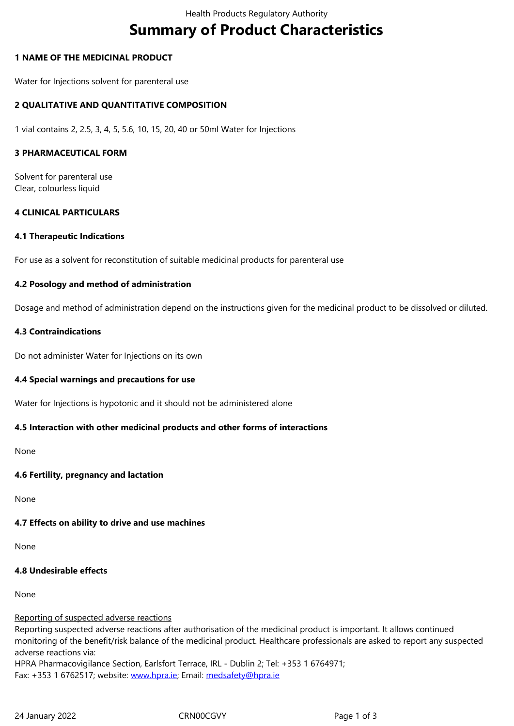#### **1 NAME OF THE MEDICINAL PRODUCT**

Water for Injections solvent for parenteral use

### **2 QUALITATIVE AND QUANTITATIVE COMPOSITION**

1 vial contains 2, 2.5, 3, 4, 5, 5.6, 10, 15, 20, 40 or 50ml Water for Injections

#### **3 PHARMACEUTICAL FORM**

Solvent for parenteral use Clear, colourless liquid

#### **4 CLINICAL PARTICULARS**

#### **4.1 Therapeutic Indications**

For use as a solvent for reconstitution of suitable medicinal products for parenteral use

#### **4.2 Posology and method of administration**

Dosage and method of administration depend on the instructions given for the medicinal product to be dissolved or diluted.

#### **4.3 Contraindications**

Do not administer Water for Injections on its own

#### **4.4 Special warnings and precautions for use**

Water for Injections is hypotonic and it should not be administered alone

### **4.5 Interaction with other medicinal products and other forms of interactions**

None

### **4.6 Fertility, pregnancy and lactation**

None

### **4.7 Effects on ability to drive and use machines**

None

## **4.8 Undesirable effects**

None

#### Reporting of suspected adverse reactions

Reporting suspected adverse reactions after authorisation of the medicinal product is important. It allows continued monitoring of the benefit/risk balance of the medicinal product. Healthcare professionals are asked to report any suspected adverse reactions via:

HPRA Pharmacovigilance Section, Earlsfort Terrace, IRL - Dublin 2; Tel: +353 1 6764971; Fax: +353 1 6762517; website: www.hpra.ie; Email: medsafety@hpra.ie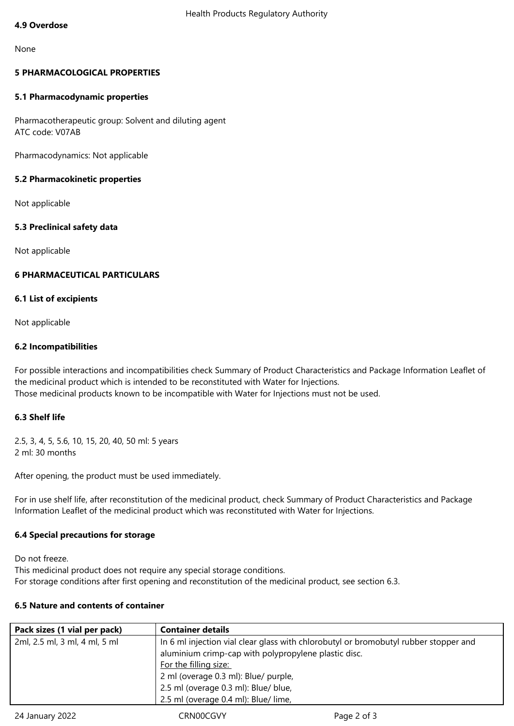#### None

# **5 PHARMACOLOGICAL PROPERTIES**

## **5.1 Pharmacodynamic properties**

Pharmacotherapeutic group: Solvent and diluting agent ATC code: V07AB

Pharmacodynamics: Not applicable

## **5.2 Pharmacokinetic properties**

Not applicable

## **5.3 Preclinical safety data**

Not applicable

## **6 PHARMACEUTICAL PARTICULARS**

### **6.1 List of excipients**

Not applicable

## **6.2 Incompatibilities**

For possible interactions and incompatibilities check Summary of Product Characteristics and Package Information Leaflet of the medicinal product which is intended to be reconstituted with Water for Injections. Those medicinal products known to be incompatible with Water for Injections must not be used.

# **6.3 Shelf life**

2.5, 3, 4, 5, 5.6, 10, 15, 20, 40, 50 ml: 5 years 2 ml: 30 months

After opening, the product must be used immediately.

For in use shelf life, after reconstitution of the medicinal product, check Summary of Product Characteristics and Package Information Leaflet of the medicinal product which was reconstituted with Water for Injections.

# **6.4 Special precautions for storage**

Do not freeze.

This medicinal product does not require any special storage conditions. For storage conditions after first opening and reconstitution of the medicinal product, see section 6.3.

### **6.5 Nature and contents of container**

| Pack sizes (1 vial per pack)  | <b>Container details</b>                                                             |
|-------------------------------|--------------------------------------------------------------------------------------|
| 2ml, 2.5 ml, 3 ml, 4 ml, 5 ml | In 6 ml injection vial clear glass with chlorobutyl or bromobutyl rubber stopper and |
|                               | aluminium crimp-cap with polypropylene plastic disc.                                 |
|                               | For the filling size:                                                                |
|                               | 2 ml (overage 0.3 ml): Blue/ purple,                                                 |
|                               | 2.5 ml (overage 0.3 ml): Blue/ blue,                                                 |
|                               | 2.5 ml (overage 0.4 ml): Blue/ lime,                                                 |
|                               |                                                                                      |